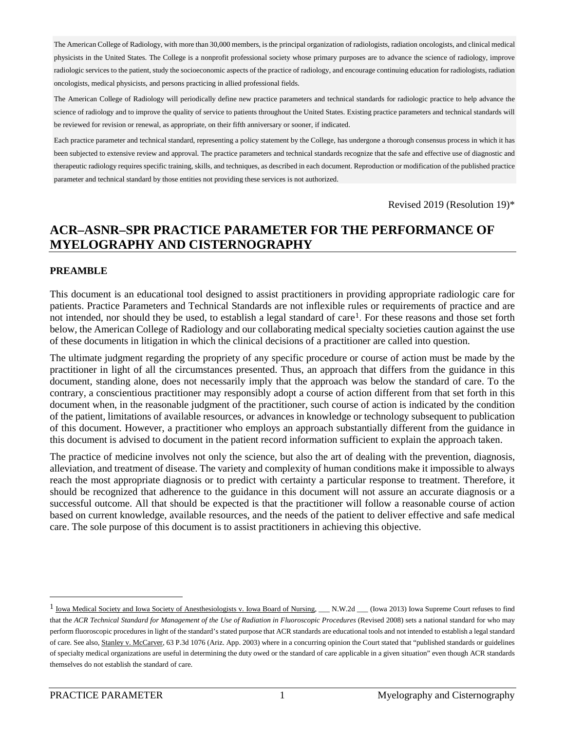The American College of Radiology, with more than 30,000 members, is the principal organization of radiologists, radiation oncologists, and clinical medical physicists in the United States. The College is a nonprofit professional society whose primary purposes are to advance the science of radiology, improve radiologic services to the patient, study the socioeconomic aspects of the practice of radiology, and encourage continuing education for radiologists, radiation oncologists, medical physicists, and persons practicing in allied professional fields.

The American College of Radiology will periodically define new practice parameters and technical standards for radiologic practice to help advance the science of radiology and to improve the quality of service to patients throughout the United States. Existing practice parameters and technical standards will be reviewed for revision or renewal, as appropriate, on their fifth anniversary or sooner, if indicated.

Each practice parameter and technical standard, representing a policy statement by the College, has undergone a thorough consensus process in which it has been subjected to extensive review and approval. The practice parameters and technical standards recognize that the safe and effective use of diagnostic and therapeutic radiology requires specific training, skills, and techniques, as described in each document. Reproduction or modification of the published practice parameter and technical standard by those entities not providing these services is not authorized.

Revised 2019 (Resolution 19)\*

# **ACR–ASNR–SPR PRACTICE PARAMETER FOR THE PERFORMANCE OF MYELOGRAPHY AND CISTERNOGRAPHY**

#### **PREAMBLE**

This document is an educational tool designed to assist practitioners in providing appropriate radiologic care for patients. Practice Parameters and Technical Standards are not inflexible rules or requirements of practice and are not intended, nor should they be used, to establish a legal standard of care<sup>[1](#page-0-0)</sup>. For these reasons and those set forth below, the American College of Radiology and our collaborating medical specialty societies caution against the use of these documents in litigation in which the clinical decisions of a practitioner are called into question.

The ultimate judgment regarding the propriety of any specific procedure or course of action must be made by the practitioner in light of all the circumstances presented. Thus, an approach that differs from the guidance in this document, standing alone, does not necessarily imply that the approach was below the standard of care. To the contrary, a conscientious practitioner may responsibly adopt a course of action different from that set forth in this document when, in the reasonable judgment of the practitioner, such course of action is indicated by the condition of the patient, limitations of available resources, or advances in knowledge or technology subsequent to publication of this document. However, a practitioner who employs an approach substantially different from the guidance in this document is advised to document in the patient record information sufficient to explain the approach taken.

The practice of medicine involves not only the science, but also the art of dealing with the prevention, diagnosis, alleviation, and treatment of disease. The variety and complexity of human conditions make it impossible to always reach the most appropriate diagnosis or to predict with certainty a particular response to treatment. Therefore, it should be recognized that adherence to the guidance in this document will not assure an accurate diagnosis or a successful outcome. All that should be expected is that the practitioner will follow a reasonable course of action based on current knowledge, available resources, and the needs of the patient to deliver effective and safe medical care. The sole purpose of this document is to assist practitioners in achieving this objective.

<span id="page-0-0"></span><sup>&</sup>lt;sup>1</sup> Iowa Medical Society and Iowa Society of Anesthesiologists v. Iowa Board of Nursing, \_\_\_ N.W.2d \_\_\_ (Iowa 2013) Iowa Supreme Court refuses to find that the *ACR Technical Standard for Management of the Use of Radiation in Fluoroscopic Procedures (Revised 2008) sets a national standard for who may* perform fluoroscopic procedures in light of the standard's stated purpose that ACR standards are educational tools and not intended to establish a legal standard of care. See also, Stanley v. McCarver, 63 P.3d 1076 (Ariz. App. 2003) where in a concurring opinion the Court stated that "published standards or guidelines of specialty medical organizations are useful in determining the duty owed or the standard of care applicable in a given situation" even though ACR standards themselves do not establish the standard of care.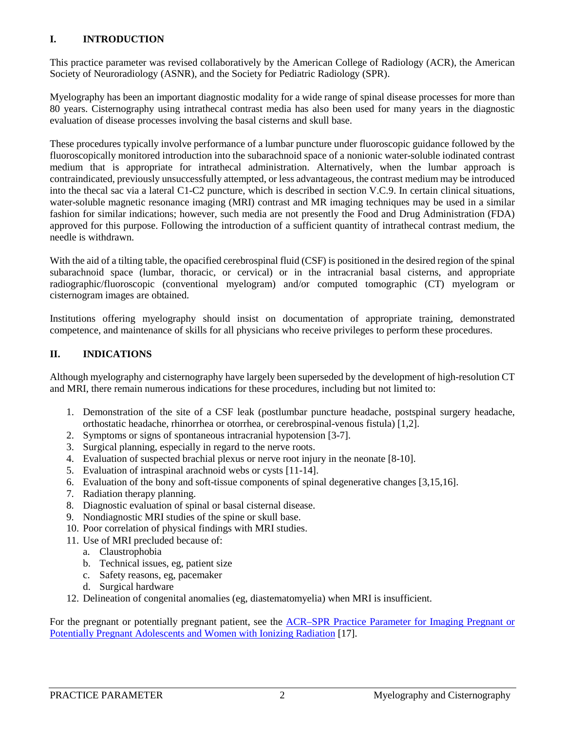## **I. INTRODUCTION**

This practice parameter was revised collaboratively by the American College of Radiology (ACR), the American Society of Neuroradiology (ASNR), and the Society for Pediatric Radiology (SPR).

Myelography has been an important diagnostic modality for a wide range of spinal disease processes for more than 80 years. Cisternography using intrathecal contrast media has also been used for many years in the diagnostic evaluation of disease processes involving the basal cisterns and skull base.

These procedures typically involve performance of a lumbar puncture under fluoroscopic guidance followed by the fluoroscopically monitored introduction into the subarachnoid space of a nonionic water-soluble iodinated contrast medium that is appropriate for intrathecal administration. Alternatively, when the lumbar approach is contraindicated, previously unsuccessfully attempted, or less advantageous, the contrast medium may be introduced into the thecal sac via a lateral C1-C2 puncture, which is described in section V.C.9. In certain clinical situations, water-soluble magnetic resonance imaging (MRI) contrast and MR imaging techniques may be used in a similar fashion for similar indications; however, such media are not presently the Food and Drug Administration (FDA) approved for this purpose. Following the introduction of a sufficient quantity of intrathecal contrast medium, the needle is withdrawn.

With the aid of a tilting table, the opacified cerebrospinal fluid (CSF) is positioned in the desired region of the spinal subarachnoid space (lumbar, thoracic, or cervical) or in the intracranial basal cisterns, and appropriate radiographic/fluoroscopic (conventional myelogram) and/or computed tomographic (CT) myelogram or cisternogram images are obtained.

Institutions offering myelography should insist on documentation of appropriate training, demonstrated competence, and maintenance of skills for all physicians who receive privileges to perform these procedures.

## **II. INDICATIONS**

Although myelography and cisternography have largely been superseded by the development of high-resolution CT and MRI, there remain numerous indications for these procedures, including but not limited to:

- 1. Demonstration of the site of a CSF leak (postlumbar puncture headache, postspinal surgery headache, orthostatic headache, rhinorrhea or otorrhea, or cerebrospinal-venous fistula) [\[1](#page-11-0)[,2\]](#page-11-1).
- 2. Symptoms or signs of spontaneous intracranial hypotension [\[3-7\]](#page-11-2).
- 3. Surgical planning, especially in regard to the nerve roots.
- 4. Evaluation of suspected brachial plexus or nerve root injury in the neonate [\[8-10\]](#page-11-3).
- 5. Evaluation of intraspinal arachnoid webs or cysts [\[11-14\]](#page-11-4).
- 6. Evaluation of the bony and soft-tissue components of spinal degenerative changes [\[3](#page-11-2)[,15](#page-11-5)[,16\]](#page-11-6).
- 7. Radiation therapy planning.
- 8. Diagnostic evaluation of spinal or basal cisternal disease.
- 9. Nondiagnostic MRI studies of the spine or skull base.
- 10. Poor correlation of physical findings with MRI studies.
- 11. Use of MRI precluded because of:
	- a. Claustrophobia
	- b. Technical issues, eg, patient size
	- c. Safety reasons, eg, pacemaker
	- d. Surgical hardware
- 12. Delineation of congenital anomalies (eg, diastematomyelia) when MRI is insufficient.

For the pregnant or potentially pregnant patient, see the ACR–SPR Practice Parameter [for Imaging Pregnant or](https://www.acr.org/-/media/ACR/Files/Practice-Parameters/Pregnant-Pts.pdf)  [Potentially Pregnant Adolescents and Women with Ionizing Radiation](https://www.acr.org/-/media/ACR/Files/Practice-Parameters/Pregnant-Pts.pdf) [\[17\]](#page-11-7).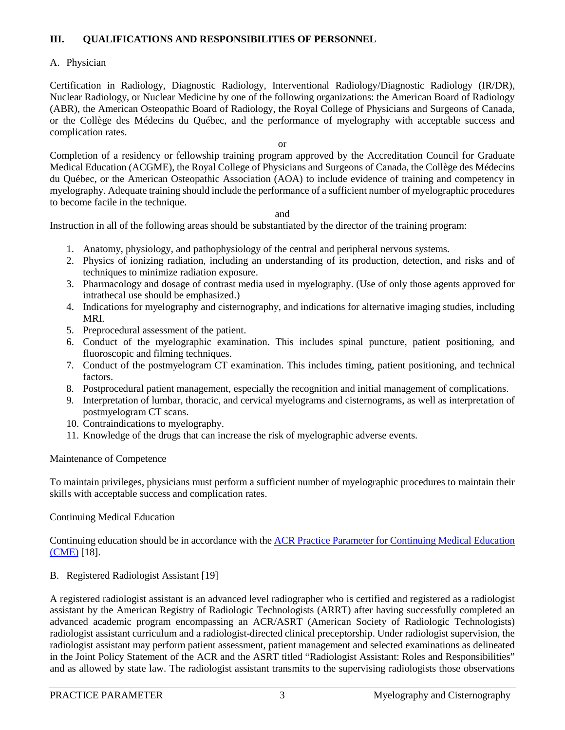## **III. QUALIFICATIONS AND RESPONSIBILITIES OF PERSONNEL**

## A. Physician

Certification in Radiology, Diagnostic Radiology, Interventional Radiology/Diagnostic Radiology (IR/DR), Nuclear Radiology, or Nuclear Medicine by one of the following organizations: the American Board of Radiology (ABR), the American Osteopathic Board of Radiology, the Royal College of Physicians and Surgeons of Canada, or the Collège des Médecins du Québec, and the performance of myelography with acceptable success and complication rates.

or

Completion of a residency or fellowship training program approved by the Accreditation Council for Graduate Medical Education (ACGME), the Royal College of Physicians and Surgeons of Canada, the Collège des Médecins du Québec, or the American Osteopathic Association (AOA) to include evidence of training and competency in myelography. Adequate training should include the performance of a sufficient number of myelographic procedures to become facile in the technique.

#### and

Instruction in all of the following areas should be substantiated by the director of the training program:

- 1. Anatomy, physiology, and pathophysiology of the central and peripheral nervous systems.
- 2. Physics of ionizing radiation, including an understanding of its production, detection, and risks and of techniques to minimize radiation exposure.
- 3. Pharmacology and dosage of contrast media used in myelography. (Use of only those agents approved for intrathecal use should be emphasized.)
- 4. Indications for myelography and cisternography, and indications for alternative imaging studies, including MRI.
- 5. Preprocedural assessment of the patient.
- 6. Conduct of the myelographic examination. This includes spinal puncture, patient positioning, and fluoroscopic and filming techniques.
- 7. Conduct of the postmyelogram CT examination. This includes timing, patient positioning, and technical factors.
- 8. Postprocedural patient management, especially the recognition and initial management of complications.
- 9. Interpretation of lumbar, thoracic, and cervical myelograms and cisternograms, as well as interpretation of postmyelogram CT scans.
- 10. Contraindications to myelography.
- 11. Knowledge of the drugs that can increase the risk of myelographic adverse events.

#### Maintenance of Competence

To maintain privileges, physicians must perform a sufficient number of myelographic procedures to maintain their skills with acceptable success and complication rates.

#### Continuing Medical Education

Continuing education should be in accordance with the ACR Practice Parameter [for Continuing Medical Education](https://www.acr.org/-/media/ACR/Files/Practice-Parameters/CME.pdf)  [\(CME\)](https://www.acr.org/-/media/ACR/Files/Practice-Parameters/CME.pdf) [\[18\]](#page-11-8).

#### B. Registered Radiologist Assistant [\[19\]](#page-11-9)

A registered radiologist assistant is an advanced level radiographer who is certified and registered as a radiologist assistant by the American Registry of Radiologic Technologists (ARRT) after having successfully completed an advanced academic program encompassing an ACR/ASRT (American Society of Radiologic Technologists) radiologist assistant curriculum and a radiologist-directed clinical preceptorship. Under radiologist supervision, the radiologist assistant may perform patient assessment, patient management and selected examinations as delineated in the Joint Policy Statement of the ACR and the ASRT titled "Radiologist Assistant: Roles and Responsibilities" and as allowed by state law. The radiologist assistant transmits to the supervising radiologists those observations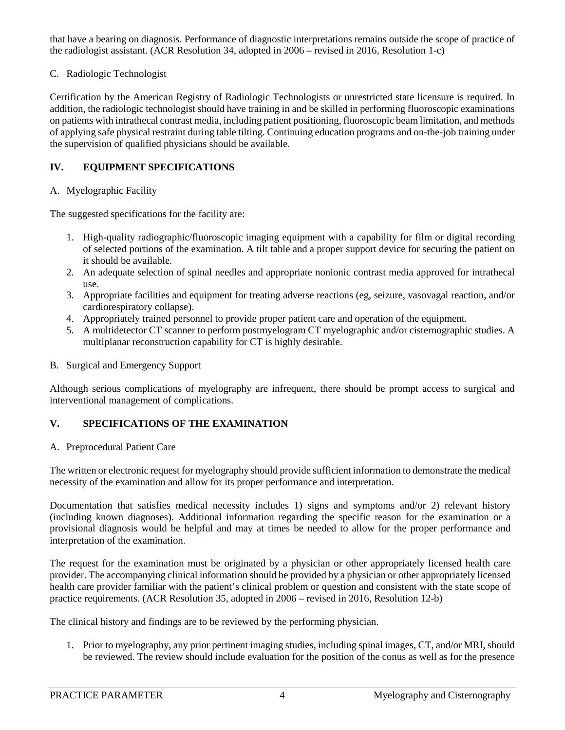that have a bearing on diagnosis. Performance of diagnostic interpretations remains outside the scope of practice of the radiologist assistant. (ACR Resolution 34, adopted in 2006 – revised in 2016, Resolution 1-c)

## C. Radiologic Technologist

Certification by the American Registry of Radiologic Technologists or unrestricted state licensure is required. In addition, the radiologic technologist should have training in and be skilled in performing fluoroscopic examinations on patients with intrathecal contrast media, including patient positioning, fluoroscopic beam limitation, and methods of applying safe physical restraint during table tilting. Continuing education programs and on-the-job training under the supervision of qualified physicians should be available.

# **IV. EQUIPMENT SPECIFICATIONS**

## A. Myelographic Facility

The suggested specifications for the facility are:

- 1. High-quality radiographic/fluoroscopic imaging equipment with a capability for film or digital recording of selected portions of the examination. A tilt table and a proper support device for securing the patient on it should be available.
- 2. An adequate selection of spinal needles and appropriate nonionic contrast media approved for intrathecal use.
- 3. Appropriate facilities and equipment for treating adverse reactions (eg, seizure, vasovagal reaction, and/or cardiorespiratory collapse).
- 4. Appropriately trained personnel to provide proper patient care and operation of the equipment.
- 5. A multidetector CT scanner to perform postmyelogram CT myelographic and/or cisternographic studies. A multiplanar reconstruction capability for CT is highly desirable.
- B. Surgical and Emergency Support

Although serious complications of myelography are infrequent, there should be prompt access to surgical and interventional management of complications.

# **V. SPECIFICATIONS OF THE EXAMINATION**

#### A. Preprocedural Patient Care

The written or electronic request for myelography should provide sufficient information to demonstrate the medical necessity of the examination and allow for its proper performance and interpretation.

Documentation that satisfies medical necessity includes 1) signs and symptoms and/or 2) relevant history (including known diagnoses). Additional information regarding the specific reason for the examination or a provisional diagnosis would be helpful and may at times be needed to allow for the proper performance and interpretation of the examination.

The request for the examination must be originated by a physician or other appropriately licensed health care provider. The accompanying clinical information should be provided by a physician or other appropriately licensed health care provider familiar with the patient's clinical problem or question and consistent with the state scope of practice requirements. (ACR Resolution 35, adopted in 2006 – revised in 2016, Resolution 12-b)

The clinical history and findings are to be reviewed by the performing physician.

1. Prior to myelography, any prior pertinent imaging studies, including spinal images, CT, and/or MRI, should be reviewed. The review should include evaluation for the position of the conus as well as for the presence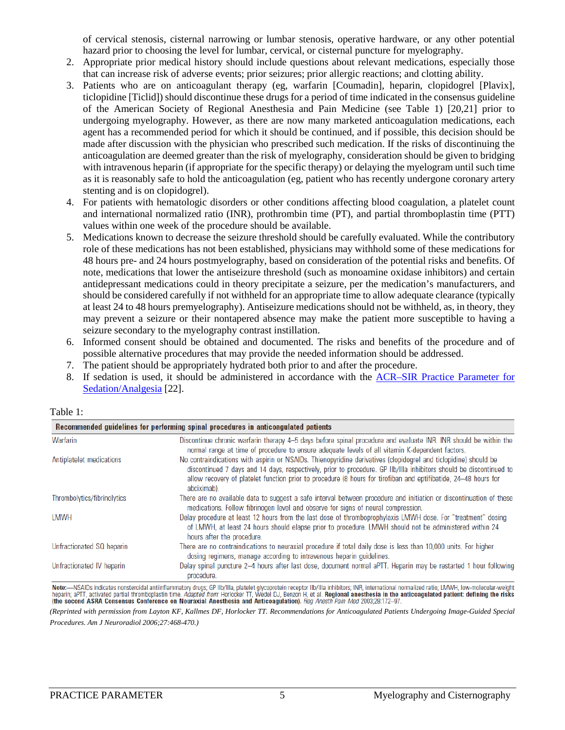of cervical stenosis, cisternal narrowing or lumbar stenosis, operative hardware, or any other potential hazard prior to choosing the level for lumbar, cervical, or cisternal puncture for myelography.

- 2. Appropriate prior medical history should include questions about relevant medications, especially those that can increase risk of adverse events; prior seizures; prior allergic reactions; and clotting ability.
- 3. Patients who are on anticoagulant therapy (eg, warfarin [Coumadin], heparin, clopidogrel [Plavix], ticlopidine [Ticlid]) should discontinue these drugs for a period of time indicated in the consensus guideline of the American Society of Regional Anesthesia and Pain Medicine (see Table 1) [\[20](#page-11-10)[,21\]](#page-11-11) prior to undergoing myelography. However, as there are now many marketed anticoagulation medications, each agent has a recommended period for which it should be continued, and if possible, this decision should be made after discussion with the physician who prescribed such medication. If the risks of discontinuing the anticoagulation are deemed greater than the risk of myelography, consideration should be given to bridging with intravenous heparin (if appropriate for the specific therapy) or delaying the myelogram until such time as it is reasonably safe to hold the anticoagulation (eg, patient who has recently undergone coronary artery stenting and is on clopidogrel).
- 4. For patients with hematologic disorders or other conditions affecting blood coagulation, a platelet count and international normalized ratio (INR), prothrombin time (PT), and partial thromboplastin time (PTT) values within one week of the procedure should be available.
- 5. Medications known to decrease the seizure threshold should be carefully evaluated. While the contributory role of these medications has not been established, physicians may withhold some of these medications for 48 hours pre- and 24 hours postmyelography, based on consideration of the potential risks and benefits. Of note, medications that lower the antiseizure threshold (such as monoamine oxidase inhibitors) and certain antidepressant medications could in theory precipitate a seizure, per the medication's manufacturers, and should be considered carefully if not withheld for an appropriate time to allow adequate clearance (typically at least 24 to 48 hours premyelography). Antiseizure medications should not be withheld, as, in theory, they may prevent a seizure or their nontapered absence may make the patient more susceptible to having a seizure secondary to the myelography contrast instillation.
- 6. Informed consent should be obtained and documented. The risks and benefits of the procedure and of possible alternative procedures that may provide the needed information should be addressed.
- 7. The patient should be appropriately hydrated both prior to and after the procedure.
- 8. If sedation is used, it should be administered in accordance with the [ACR–SIR Practice Parameter](https://www.acr.org/-/media/ACR/Files/Practice-Parameters/Sed-Analgesia.pdf) for [Sedation/Analgesia](https://www.acr.org/-/media/ACR/Files/Practice-Parameters/Sed-Analgesia.pdf) [\[22\]](#page-11-12).

| Recommended guidelines for performing spinal procedures in anticoagulated patients |                                                                                                                                                                                                                                                                                                                                                                          |  |  |
|------------------------------------------------------------------------------------|--------------------------------------------------------------------------------------------------------------------------------------------------------------------------------------------------------------------------------------------------------------------------------------------------------------------------------------------------------------------------|--|--|
| Warfarin                                                                           | Discontinue chronic warfarin therapy 4–5 days before spinal procedure and evaluate INR. INR should be within the<br>normal range at time of procedure to ensure adequate levels of all vitamin K-dependent factors.                                                                                                                                                      |  |  |
| Antiplatelet medications                                                           | No contraindications with aspirin or NSAIDs. Thienopyridine derivatives (clopidogrel and ticlopidine) should be<br>discontinued 7 days and 14 days, respectively, prior to procedure. GP IIb/Illa inhibitors should be discontinued to<br>allow recovery of platelet function prior to procedure (8 hours for tirofiban and eptifibatide, 24-48 hours for<br>abciximab). |  |  |
| Thrombolytics/fibrinolytics                                                        | There are no available data to suggest a safe interval between procedure and initiation or discontinuation of these<br>medications. Follow fibrinogen level and observe for signs of neural compression.                                                                                                                                                                 |  |  |
| LMWH                                                                               | Delay procedure at least 12 hours from the last dose of thromboprophylaxis LMWH dose. For "treatment" dosing<br>of LMWH, at least 24 hours should elapse prior to procedure. LMWH should not be administered within 24<br>hours after the procedure.                                                                                                                     |  |  |
| Unfractionated SQ heparin                                                          | There are no contraindications to neuraxial procedure if total daily dose is less than 10,000 units. For higher<br>dosing regimens, manage according to intravenous heparin guidelines.                                                                                                                                                                                  |  |  |
| Unfractionated IV heparin                                                          | Delay spinal puncture 2-4 hours after last dose, document normal aPTT. Heparin may be restarted 1 hour following<br>procedure.                                                                                                                                                                                                                                           |  |  |

| Table |  |
|-------|--|
|       |  |

Note:—NSAIDs indicates nonsteroidal antiinflammatory drugs; GP IIb/IIIa, platelet glycoprotein receptor IIb/IIIa inhibitors; INR, international normalized ratio; LMWH, low-molecular-weight<br>heparin; aPTT, activated partial (the second ASRA Consensus Conference on Neuraxial Anesthesia and Anticoagulation). Reg Anesth Pain Med 2003;28:172-97

*(Reprinted with permission from Layton KF, Kallmes DF, Horlocker TT. Recommendations for Anticoagulated Patients Undergoing Image-Guided Special Procedures. Am J Neuroradiol 2006;27:468-470.)*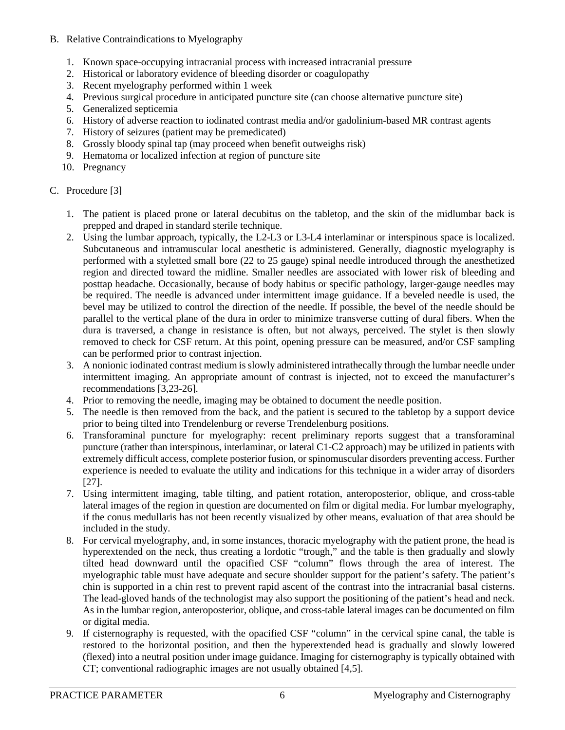#### B. Relative Contraindications to Myelography

- 1. Known space-occupying intracranial process with increased intracranial pressure
- 2. Historical or laboratory evidence of bleeding disorder or coagulopathy
- 3. Recent myelography performed within 1 week
- 4. Previous surgical procedure in anticipated puncture site (can choose alternative puncture site)
- 5. Generalized septicemia
- 6. History of adverse reaction to iodinated contrast media and/or gadolinium-based MR contrast agents
- 7. History of seizures (patient may be premedicated)
- 8. Grossly bloody spinal tap (may proceed when benefit outweighs risk)
- 9. Hematoma or localized infection at region of puncture site
- 10. Pregnancy

## C. Procedure [\[3\]](#page-11-2)

- 1. The patient is placed prone or lateral decubitus on the tabletop, and the skin of the midlumbar back is prepped and draped in standard sterile technique.
- 2. Using the lumbar approach, typically, the L2-L3 or L3-L4 interlaminar or interspinous space is localized. Subcutaneous and intramuscular local anesthetic is administered. Generally, diagnostic myelography is performed with a styletted small bore (22 to 25 gauge) spinal needle introduced through the anesthetized region and directed toward the midline. Smaller needles are associated with lower risk of bleeding and posttap headache. Occasionally, because of body habitus or specific pathology, larger-gauge needles may be required. The needle is advanced under intermittent image guidance. If a beveled needle is used, the bevel may be utilized to control the direction of the needle. If possible, the bevel of the needle should be parallel to the vertical plane of the dura in order to minimize transverse cutting of dural fibers. When the dura is traversed, a change in resistance is often, but not always, perceived. The stylet is then slowly removed to check for CSF return. At this point, opening pressure can be measured, and/or CSF sampling can be performed prior to contrast injection.
- 3. A nonionic iodinated contrast medium is slowly administered intrathecally through the lumbar needle under intermittent imaging. An appropriate amount of contrast is injected, not to exceed the manufacturer's recommendations [\[3](#page-11-2)[,23-26\]](#page-12-0).
- 4. Prior to removing the needle, imaging may be obtained to document the needle position.
- 5. The needle is then removed from the back, and the patient is secured to the tabletop by a support device prior to being tilted into Trendelenburg or reverse Trendelenburg positions.
- 6. Transforaminal puncture for myelography: recent preliminary reports suggest that a transforaminal puncture (rather than interspinous, interlaminar, or lateral C1-C2 approach) may be utilized in patients with extremely difficult access, complete posterior fusion, or spinomuscular disorders preventing access. Further experience is needed to evaluate the utility and indications for this technique in a wider array of disorders [\[27\]](#page-12-1).
- 7. Using intermittent imaging, table tilting, and patient rotation, anteroposterior, oblique, and cross-table lateral images of the region in question are documented on film or digital media. For lumbar myelography, if the conus medullaris has not been recently visualized by other means, evaluation of that area should be included in the study.
- 8. For cervical myelography, and, in some instances, thoracic myelography with the patient prone, the head is hyperextended on the neck, thus creating a lordotic "trough," and the table is then gradually and slowly tilted head downward until the opacified CSF "column" flows through the area of interest. The myelographic table must have adequate and secure shoulder support for the patient's safety. The patient's chin is supported in a chin rest to prevent rapid ascent of the contrast into the intracranial basal cisterns. The lead-gloved hands of the technologist may also support the positioning of the patient's head and neck. As in the lumbar region, anteroposterior, oblique, and cross-table lateral images can be documented on film or digital media.
- 9. If cisternography is requested, with the opacified CSF "column" in the cervical spine canal, the table is restored to the horizontal position, and then the hyperextended head is gradually and slowly lowered (flexed) into a neutral position under image guidance. Imaging for cisternography is typically obtained with CT; conventional radiographic images are not usually obtained [\[4](#page-11-13)[,5\]](#page-11-14).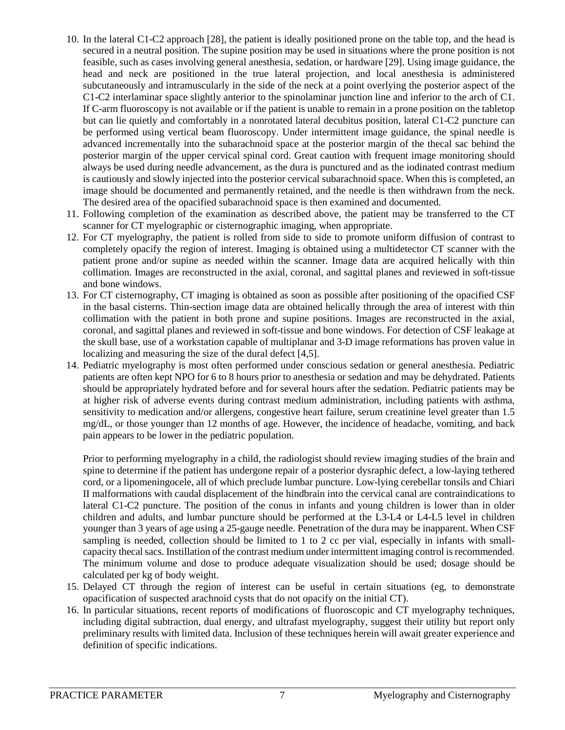- 10. In the lateral C1-C2 approach [\[28\]](#page-12-2), the patient is ideally positioned prone on the table top, and the head is secured in a neutral position. The supine position may be used in situations where the prone position is not feasible, such as cases involving general anesthesia, sedation, or hardware [\[29\]](#page-12-3). Using image guidance, the head and neck are positioned in the true lateral projection, and local anesthesia is administered subcutaneously and intramuscularly in the side of the neck at a point overlying the posterior aspect of the C1-C2 interlaminar space slightly anterior to the spinolaminar junction line and inferior to the arch of C1. If C-arm fluoroscopy is not available or if the patient is unable to remain in a prone position on the tabletop but can lie quietly and comfortably in a nonrotated lateral decubitus position, lateral C1-C2 puncture can be performed using vertical beam fluoroscopy. Under intermittent image guidance, the spinal needle is advanced incrementally into the subarachnoid space at the posterior margin of the thecal sac behind the posterior margin of the upper cervical spinal cord. Great caution with frequent image monitoring should always be used during needle advancement, as the dura is punctured and as the iodinated contrast medium is cautiously and slowly injected into the posterior cervical subarachnoid space. When this is completed, an image should be documented and permanently retained, and the needle is then withdrawn from the neck. The desired area of the opacified subarachnoid space is then examined and documented.
- 11. Following completion of the examination as described above, the patient may be transferred to the CT scanner for CT myelographic or cisternographic imaging, when appropriate.
- 12. For CT myelography, the patient is rolled from side to side to promote uniform diffusion of contrast to completely opacify the region of interest. Imaging is obtained using a multidetector CT scanner with the patient prone and/or supine as needed within the scanner. Image data are acquired helically with thin collimation. Images are reconstructed in the axial, coronal, and sagittal planes and reviewed in soft-tissue and bone windows.
- 13. For CT cisternography, CT imaging is obtained as soon as possible after positioning of the opacified CSF in the basal cisterns. Thin-section image data are obtained helically through the area of interest with thin collimation with the patient in both prone and supine positions. Images are reconstructed in the axial, coronal, and sagittal planes and reviewed in soft-tissue and bone windows. For detection of CSF leakage at the skull base, use of a workstation capable of multiplanar and 3-D image reformations has proven value in localizing and measuring the size of the dural defect [\[4](#page-11-13)[,5\]](#page-11-14).
- 14. Pediatric myelography is most often performed under conscious sedation or general anesthesia. Pediatric patients are often kept NPO for 6 to 8 hours prior to anesthesia or sedation and may be dehydrated. Patients should be appropriately hydrated before and for several hours after the sedation. Pediatric patients may be at higher risk of adverse events during contrast medium administration, including patients with asthma, sensitivity to medication and/or allergens, congestive heart failure, serum creatinine level greater than 1.5 mg/dL, or those younger than 12 months of age. However, the incidence of headache, vomiting, and back pain appears to be lower in the pediatric population.

Prior to performing myelography in a child, the radiologist should review imaging studies of the brain and spine to determine if the patient has undergone repair of a posterior dysraphic defect, a low-laying tethered cord, or a lipomeningocele, all of which preclude lumbar puncture. Low-lying cerebellar tonsils and Chiari II malformations with caudal displacement of the hindbrain into the cervical canal are contraindications to lateral C1-C2 puncture. The position of the conus in infants and young children is lower than in older children and adults, and lumbar puncture should be performed at the L3-L4 or L4-L5 level in children younger than 3 years of age using a 25-gauge needle. Penetration of the dura may be inapparent. When CSF sampling is needed, collection should be limited to 1 to 2 cc per vial, especially in infants with smallcapacity thecal sacs. Instillation of the contrast medium under intermittent imaging control is recommended. The minimum volume and dose to produce adequate visualization should be used; dosage should be calculated per kg of body weight.

- 15. Delayed CT through the region of interest can be useful in certain situations (eg, to demonstrate opacification of suspected arachnoid cysts that do not opacify on the initial CT).
- 16. In particular situations, recent reports of modifications of fluoroscopic and CT myelography techniques, including digital subtraction, dual energy, and ultrafast myelography, suggest their utility but report only preliminary results with limited data. Inclusion of these techniques herein will await greater experience and definition of specific indications.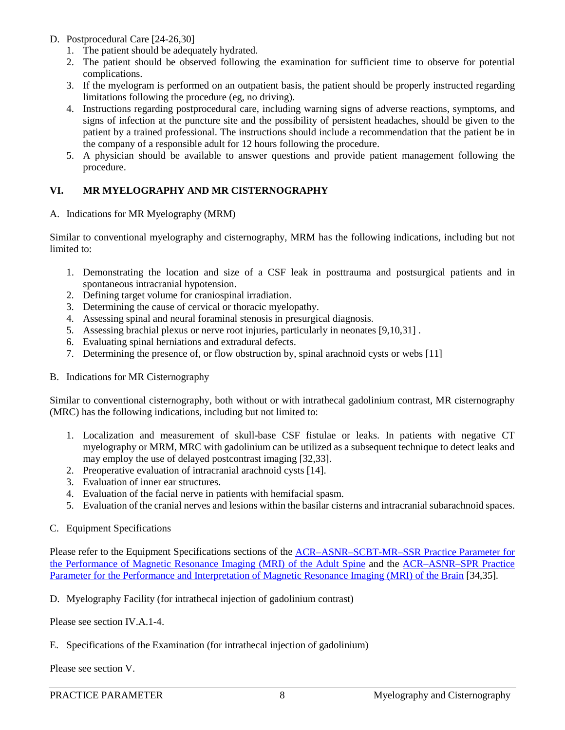#### D. Postprocedural Care [\[24-26,](#page-12-4)[30\]](#page-12-5)

- 1. The patient should be adequately hydrated.
- 2. The patient should be observed following the examination for sufficient time to observe for potential complications.
- 3. If the myelogram is performed on an outpatient basis, the patient should be properly instructed regarding limitations following the procedure (eg, no driving).
- 4. Instructions regarding postprocedural care, including warning signs of adverse reactions, symptoms, and signs of infection at the puncture site and the possibility of persistent headaches, should be given to the patient by a trained professional. The instructions should include a recommendation that the patient be in the company of a responsible adult for 12 hours following the procedure.
- 5. A physician should be available to answer questions and provide patient management following the procedure.

#### **VI. MR MYELOGRAPHY AND MR CISTERNOGRAPHY**

A. Indications for MR Myelography (MRM)

Similar to conventional myelography and cisternography, MRM has the following indications, including but not limited to:

- 1. Demonstrating the location and size of a CSF leak in posttrauma and postsurgical patients and in spontaneous intracranial hypotension.
- 2. Defining target volume for craniospinal irradiation.
- 3. Determining the cause of cervical or thoracic myelopathy.
- 4. Assessing spinal and neural foraminal stenosis in presurgical diagnosis.
- 5. Assessing brachial plexus or nerve root injuries, particularly in neonates [\[9](#page-11-15)[,10,](#page-11-16)[31\]](#page-12-6) .
- 6. Evaluating spinal herniations and extradural defects.
- 7. Determining the presence of, or flow obstruction by, spinal arachnoid cysts or webs [\[11\]](#page-11-4)
- B. Indications for MR Cisternography

Similar to conventional cisternography, both without or with intrathecal gadolinium contrast, MR cisternography (MRC) has the following indications, including but not limited to:

- 1. Localization and measurement of skull-base CSF fistulae or leaks. In patients with negative CT myelography or MRM, MRC with gadolinium can be utilized as a subsequent technique to detect leaks and may employ the use of delayed postcontrast imaging [\[32,](#page-12-7)[33\]](#page-12-8).
- 2. Preoperative evaluation of intracranial arachnoid cysts [\[14\]](#page-11-17).
- 3. Evaluation of inner ear structures.
- 4. Evaluation of the facial nerve in patients with hemifacial spasm.
- 5. Evaluation of the cranial nerves and lesions within the basilar cisterns and intracranial subarachnoid spaces.

#### C. Equipment Specifications

Please refer to the Equipment Specifications sections of the [ACR–ASNR–SCBT-MR–SSR](https://www.acr.org/-/media/ACR/Files/Practice-Parameters/MR-Adult-Spine.pdf) Practice Parameter for [the Performance of Magnetic Resonance Imaging \(MRI\) of the Adult Spine](https://www.acr.org/-/media/ACR/Files/Practice-Parameters/MR-Adult-Spine.pdf) and the [ACR–ASNR–SPR](https://www.acr.org/-/media/ACR/Files/Practice-Parameters/MR-Brain.pdf) Practice Parameter [for the Performance and Interpretation of Magnetic Resonance Imaging \(MRI\) of the Brain](https://www.acr.org/-/media/ACR/Files/Practice-Parameters/MR-Brain.pdf) [\[34](#page-12-9)[,35\]](#page-12-10).

D. Myelography Facility (for intrathecal injection of gadolinium contrast)

Please see section IV.A.1-4.

E. Specifications of the Examination (for intrathecal injection of gadolinium)

Please see section V.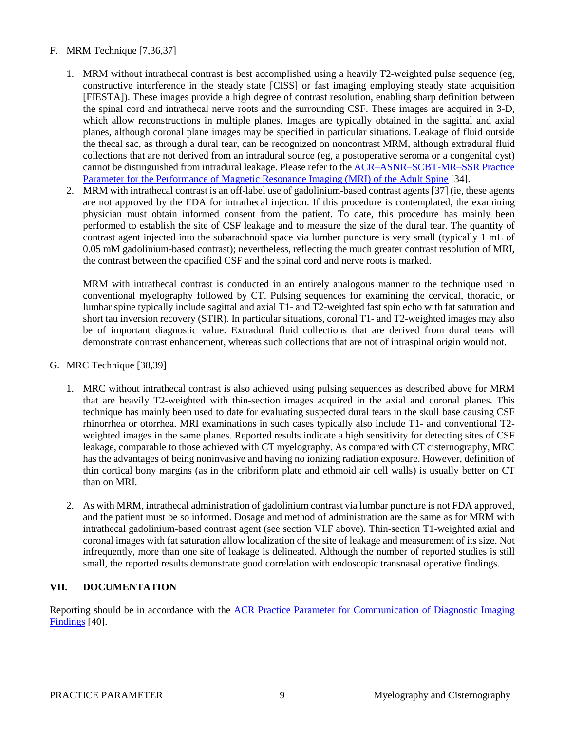## F. MRM Technique [\[7](#page-11-18)[,36](#page-12-11)[,37\]](#page-12-12)

- 1. MRM without intrathecal contrast is best accomplished using a heavily T2-weighted pulse sequence (eg, constructive interference in the steady state [CISS] or fast imaging employing steady state acquisition [FIESTA]). These images provide a high degree of contrast resolution, enabling sharp definition between the spinal cord and intrathecal nerve roots and the surrounding CSF. These images are acquired in 3-D, which allow reconstructions in multiple planes. Images are typically obtained in the sagittal and axial planes, although coronal plane images may be specified in particular situations. Leakage of fluid outside the thecal sac, as through a dural tear, can be recognized on noncontrast MRM, although extradural fluid collections that are not derived from an intradural source (eg, a postoperative seroma or a congenital cyst) cannot be distinguished from intradural leakage. Please refer to the [ACR–ASNR–SCBT-MR–SSR](https://www.acr.org/-/media/ACR/Files/Practice-Parameters/MR-Adult-Spine.pdf) Practice Parameter [for the Performance of Magnetic Resonance Imaging \(MRI\) of the Adult Spine](https://www.acr.org/-/media/ACR/Files/Practice-Parameters/MR-Adult-Spine.pdf) [\[34\]](#page-12-9).
- 2. MRM with intrathecal contrast is an off-label use of gadolinium-based contrast agents [\[37\]](#page-12-12) (ie, these agents are not approved by the FDA for intrathecal injection. If this procedure is contemplated, the examining physician must obtain informed consent from the patient. To date, this procedure has mainly been performed to establish the site of CSF leakage and to measure the size of the dural tear. The quantity of contrast agent injected into the subarachnoid space via lumber puncture is very small (typically 1 mL of 0.05 mM gadolinium-based contrast); nevertheless, reflecting the much greater contrast resolution of MRI, the contrast between the opacified CSF and the spinal cord and nerve roots is marked.

MRM with intrathecal contrast is conducted in an entirely analogous manner to the technique used in conventional myelography followed by CT. Pulsing sequences for examining the cervical, thoracic, or lumbar spine typically include sagittal and axial T1- and T2-weighted fast spin echo with fat saturation and short tau inversion recovery (STIR). In particular situations, coronal T1- and T2-weighted images may also be of important diagnostic value. Extradural fluid collections that are derived from dural tears will demonstrate contrast enhancement, whereas such collections that are not of intraspinal origin would not.

#### G. MRC Technique [\[38](#page-12-13)[,39\]](#page-12-14)

- 1. MRC without intrathecal contrast is also achieved using pulsing sequences as described above for MRM that are heavily T2-weighted with thin-section images acquired in the axial and coronal planes. This technique has mainly been used to date for evaluating suspected dural tears in the skull base causing CSF rhinorrhea or otorrhea. MRI examinations in such cases typically also include T1- and conventional T2 weighted images in the same planes. Reported results indicate a high sensitivity for detecting sites of CSF leakage, comparable to those achieved with CT myelography. As compared with CT cisternography, MRC has the advantages of being noninvasive and having no ionizing radiation exposure. However, definition of thin cortical bony margins (as in the cribriform plate and ethmoid air cell walls) is usually better on CT than on MRI.
- 2. As with MRM, intrathecal administration of gadolinium contrast via lumbar puncture is not FDA approved, and the patient must be so informed. Dosage and method of administration are the same as for MRM with intrathecal gadolinium-based contrast agent (see section VI.F above). Thin-section T1-weighted axial and coronal images with fat saturation allow localization of the site of leakage and measurement of its size. Not infrequently, more than one site of leakage is delineated. Although the number of reported studies is still small, the reported results demonstrate good correlation with endoscopic transnasal operative findings.

#### **VII. DOCUMENTATION**

Reporting should be in accordance with the ACR Practice Parameter [for Communication of Diagnostic Imaging](https://www.acr.org/-/media/ACR/Files/Practice-Parameters/CommunicationDiag.pdf)  [Findings](https://www.acr.org/-/media/ACR/Files/Practice-Parameters/CommunicationDiag.pdf) [\[40\]](#page-12-15).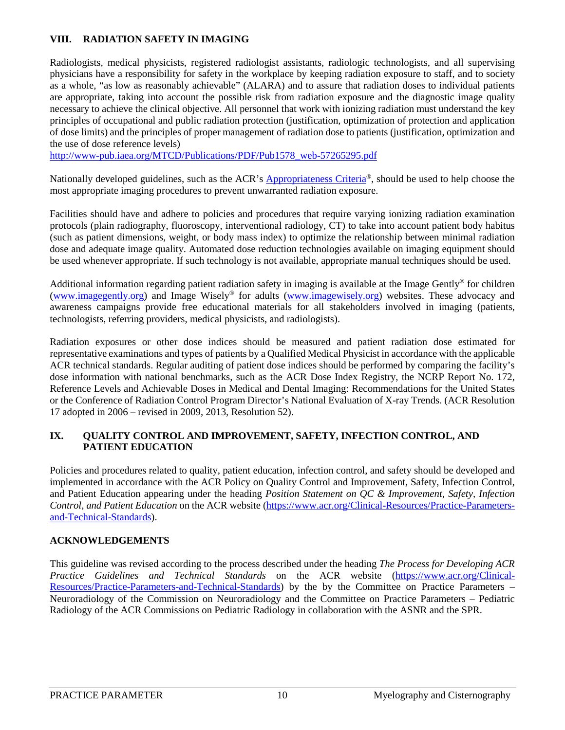## **VIII. RADIATION SAFETY IN IMAGING**

Radiologists, medical physicists, registered radiologist assistants, radiologic technologists, and all supervising physicians have a responsibility for safety in the workplace by keeping radiation exposure to staff, and to society as a whole, "as low as reasonably achievable" (ALARA) and to assure that radiation doses to individual patients are appropriate, taking into account the possible risk from radiation exposure and the diagnostic image quality necessary to achieve the clinical objective. All personnel that work with ionizing radiation must understand the key principles of occupational and public radiation protection (justification, optimization of protection and application of dose limits) and the principles of proper management of radiation dose to patients (justification, optimization and the use of dose reference levels)

[http://www-pub.iaea.org/MTCD/Publications/PDF/Pub1578\\_web-57265295.pdf](http://www-pub.iaea.org/MTCD/Publications/PDF/Pub1578_web-57265295.pdf)

Nationally developed guidelines, such as the ACR's Appropriateness Criteria<sup>®</sup>, should be used to help choose the most appropriate imaging procedures to prevent unwarranted radiation exposure.

Facilities should have and adhere to policies and procedures that require varying ionizing radiation examination protocols (plain radiography, fluoroscopy, interventional radiology, CT) to take into account patient body habitus (such as patient dimensions, weight, or body mass index) to optimize the relationship between minimal radiation dose and adequate image quality. Automated dose reduction technologies available on imaging equipment should be used whenever appropriate. If such technology is not available, appropriate manual techniques should be used.

Additional information regarding patient radiation safety in imaging is available at the Image Gently® for children [\(www.imagegently.org\)](http://www.imagegently.org/) and Image Wisely® for adults [\(www.imagewisely.org\)](http://www.imagewisely.org/) websites. These advocacy and awareness campaigns provide free educational materials for all stakeholders involved in imaging (patients, technologists, referring providers, medical physicists, and radiologists).

Radiation exposures or other dose indices should be measured and patient radiation dose estimated for representative examinations and types of patients by a Qualified Medical Physicist in accordance with the applicable ACR technical standards. Regular auditing of patient dose indices should be performed by comparing the facility's dose information with national benchmarks, such as the ACR Dose Index Registry, the NCRP Report No. 172, Reference Levels and Achievable Doses in Medical and Dental Imaging: Recommendations for the United States or the Conference of Radiation Control Program Director's National Evaluation of X-ray Trends. (ACR Resolution 17 adopted in 2006 – revised in 2009, 2013, Resolution 52).

#### **IX. QUALITY CONTROL AND IMPROVEMENT, SAFETY, INFECTION CONTROL, AND PATIENT EDUCATION**

Policies and procedures related to quality, patient education, infection control, and safety should be developed and implemented in accordance with the ACR Policy on Quality Control and Improvement, Safety, Infection Control, and Patient Education appearing under the heading *Position Statement on QC & Improvement, Safety, Infection Control*, *and Patient Education* on the ACR website [\(https://www.acr.org/Clinical-Resources/Practice-Parameters](https://www.acr.org/Clinical-Resources/Practice-Parameters-and-Technical-Standards)[and-Technical-Standards\)](https://www.acr.org/Clinical-Resources/Practice-Parameters-and-Technical-Standards).

#### **ACKNOWLEDGEMENTS**

This guideline was revised according to the process described under the heading *The Process for Developing ACR Practice Guidelines and Technical Standards* on the ACR website [\(https://www.acr.org/Clinical-](https://www.acr.org/Clinical-Resources/Practice-Parameters-and-Technical-Standards)[Resources/Practice-Parameters-and-Technical-Standards\)](https://www.acr.org/Clinical-Resources/Practice-Parameters-and-Technical-Standards) by the by the Committee on Practice Parameters – Neuroradiology of the Commission on Neuroradiology and the Committee on Practice Parameters – Pediatric Radiology of the ACR Commissions on Pediatric Radiology in collaboration with the ASNR and the SPR.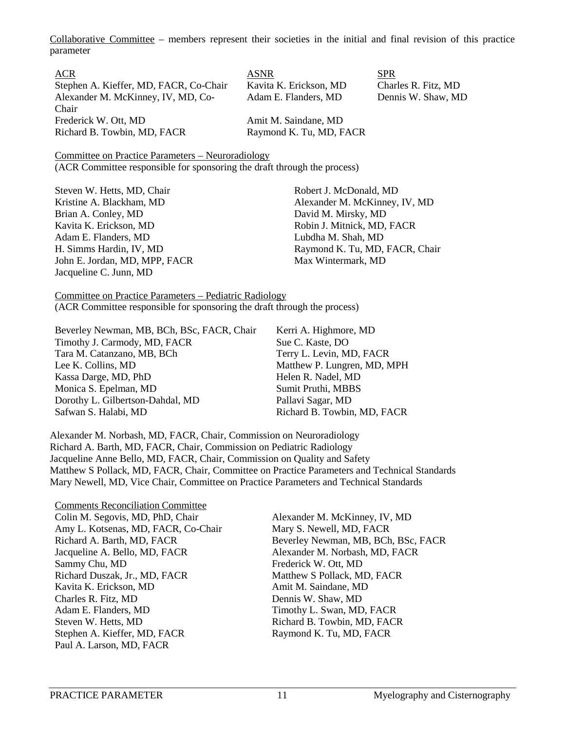Collaborative Committee – members represent their societies in the initial and final revision of this practice parameter

| ACR                                    | <b>ASNR</b>             | <b>SPR</b>          |
|----------------------------------------|-------------------------|---------------------|
| Stephen A. Kieffer, MD, FACR, Co-Chair | Kavita K. Erickson, MD  | Charles R. Fitz, MD |
| Alexander M. McKinney, IV, MD, Co-     | Adam E. Flanders, MD    | Dennis W. Shaw, MD  |
| Chair                                  |                         |                     |
| Frederick W. Ott, MD                   | Amit M. Saindane, MD    |                     |
| Richard B. Towbin, MD, FACR            | Raymond K. Tu, MD, FACR |                     |

Committee on Practice Parameters – Neuroradiology (ACR Committee responsible for sponsoring the draft through the process)

Steven W. Hetts, MD, Chair **Robert J. McDonald, MD** Brian A. Conley, MD David M. Mirsky, MD Kavita K. Erickson, MD Robin J. Mitnick, MD, FACR Adam E. Flanders, MD Lubdha M. Shah, MD John E. Jordan, MD, MPP, FACR Max Wintermark, MD Jacqueline C. Junn, MD

Kristine A. Blackham, MD **Alexander M. McKinney, IV, MD** H. Simms Hardin, IV, MD Raymond K. Tu, MD, FACR, Chair

Committee on Practice Parameters – Pediatric Radiology (ACR Committee responsible for sponsoring the draft through the process)

Beverley Newman, MB, BCh, BSc, FACR, Chair Kerri A. Highmore, MD Timothy J. Carmody, MD, FACR Sue C. Kaste, DO Tara M. Catanzano, MB, BCh Terry L. Levin, MD, FACR Lee K. Collins, MD Matthew P. Lungren, MD, MPH Kassa Darge, MD, PhD Helen R. Nadel, MD Monica S. Epelman, MD Sumit Pruthi, MBBS Dorothy L. Gilbertson-Dahdal, MD Pallavi Sagar, MD Safwan S. Halabi, MD Richard B. Towbin, MD, FACR

Alexander M. Norbash, MD, FACR, Chair, Commission on Neuroradiology Richard A. Barth, MD, FACR, Chair, Commission on Pediatric Radiology Jacqueline Anne Bello, MD, FACR, Chair, Commission on Quality and Safety Matthew S Pollack, MD, FACR, Chair, Committee on Practice Parameters and Technical Standards Mary Newell, MD, Vice Chair, Committee on Practice Parameters and Technical Standards

Comments Reconciliation Committee Colin M. Segovis, MD, PhD, Chair Alexander M. McKinney, IV, MD Amy L. Kotsenas, MD, FACR, Co-Chair Mary S. Newell, MD, FACR Jacqueline A. Bello, MD, FACR Alexander M. Norbash, MD, FACR Sammy Chu, MD Frederick W. Ott, MD Richard Duszak, Jr., MD, FACR Matthew S Pollack, MD, FACR Kavita K. Erickson, MD Amit M. Saindane, MD Charles R. Fitz, MD Dennis W. Shaw, MD Adam E. Flanders, MD Timothy L. Swan, MD, FACR Steven W. Hetts, MD **Richard B. Towbin, MD, FACR** Stephen A. Kieffer, MD, FACR Raymond K. Tu, MD, FACR Paul A. Larson, MD, FACR

Richard A. Barth, MD, FACR Beverley Newman, MB, BCh, BSc, FACR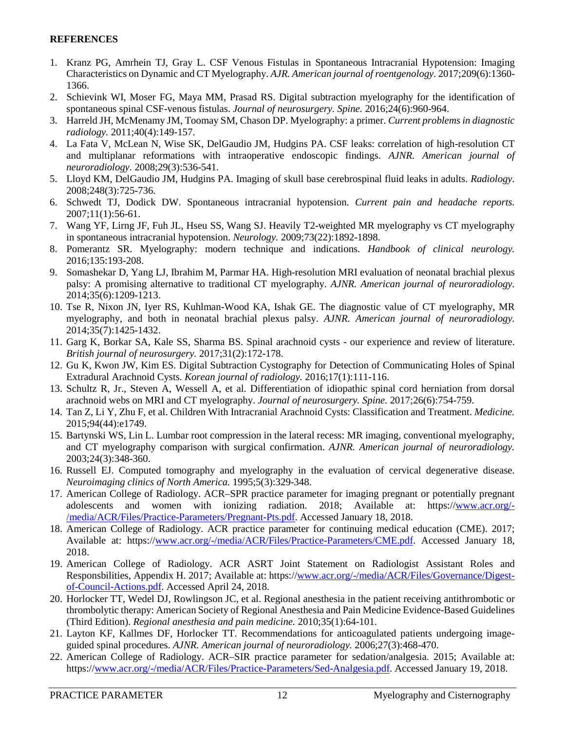#### **REFERENCES**

- <span id="page-11-0"></span>1. Kranz PG, Amrhein TJ, Gray L. CSF Venous Fistulas in Spontaneous Intracranial Hypotension: Imaging Characteristics on Dynamic and CT Myelography. *AJR. American journal of roentgenology.* 2017;209(6):1360- 1366.
- <span id="page-11-1"></span>2. Schievink WI, Moser FG, Maya MM, Prasad RS. Digital subtraction myelography for the identification of spontaneous spinal CSF-venous fistulas. *Journal of neurosurgery. Spine.* 2016;24(6):960-964.
- <span id="page-11-2"></span>3. Harreld JH, McMenamy JM, Toomay SM, Chason DP. Myelography: a primer. *Current problems in diagnostic radiology.* 2011;40(4):149-157.
- <span id="page-11-13"></span>4. La Fata V, McLean N, Wise SK, DelGaudio JM, Hudgins PA. CSF leaks: correlation of high-resolution CT and multiplanar reformations with intraoperative endoscopic findings. *AJNR. American journal of neuroradiology.* 2008;29(3):536-541.
- <span id="page-11-14"></span>5. Lloyd KM, DelGaudio JM, Hudgins PA. Imaging of skull base cerebrospinal fluid leaks in adults. *Radiology.*  2008;248(3):725-736.
- 6. Schwedt TJ, Dodick DW. Spontaneous intracranial hypotension. *Current pain and headache reports.*  2007;11(1):56-61.
- <span id="page-11-18"></span>7. Wang YF, Lirng JF, Fuh JL, Hseu SS, Wang SJ. Heavily T2-weighted MR myelography vs CT myelography in spontaneous intracranial hypotension. *Neurology.* 2009;73(22):1892-1898.
- <span id="page-11-3"></span>8. Pomerantz SR. Myelography: modern technique and indications. *Handbook of clinical neurology.*  2016;135:193-208.
- <span id="page-11-15"></span>9. Somashekar D, Yang LJ, Ibrahim M, Parmar HA. High-resolution MRI evaluation of neonatal brachial plexus palsy: A promising alternative to traditional CT myelography. *AJNR. American journal of neuroradiology.*  2014;35(6):1209-1213.
- <span id="page-11-16"></span>10. Tse R, Nixon JN, Iyer RS, Kuhlman-Wood KA, Ishak GE. The diagnostic value of CT myelography, MR myelography, and both in neonatal brachial plexus palsy. *AJNR. American journal of neuroradiology.*  2014;35(7):1425-1432.
- <span id="page-11-4"></span>11. Garg K, Borkar SA, Kale SS, Sharma BS. Spinal arachnoid cysts - our experience and review of literature. *British journal of neurosurgery.* 2017;31(2):172-178.
- 12. Gu K, Kwon JW, Kim ES. Digital Subtraction Cystography for Detection of Communicating Holes of Spinal Extradural Arachnoid Cysts. *Korean journal of radiology.* 2016;17(1):111-116.
- 13. Schultz R, Jr., Steven A, Wessell A, et al. Differentiation of idiopathic spinal cord herniation from dorsal arachnoid webs on MRI and CT myelography. *Journal of neurosurgery. Spine.* 2017;26(6):754-759.
- <span id="page-11-17"></span>14. Tan Z, Li Y, Zhu F, et al. Children With Intracranial Arachnoid Cysts: Classification and Treatment. *Medicine.*  2015;94(44):e1749.
- <span id="page-11-5"></span>15. Bartynski WS, Lin L. Lumbar root compression in the lateral recess: MR imaging, conventional myelography, and CT myelography comparison with surgical confirmation. *AJNR. American journal of neuroradiology.*  2003;24(3):348-360.
- <span id="page-11-6"></span>16. Russell EJ. Computed tomography and myelography in the evaluation of cervical degenerative disease. *Neuroimaging clinics of North America.* 1995;5(3):329-348.
- <span id="page-11-7"></span>17. American College of Radiology. ACR–SPR practice parameter for imaging pregnant or potentially pregnant adolescents and women with ionizing radiation. 2018; Available at: https:/[/www.acr.org/-](http://www.acr.org/-/media/ACR/Files/Practice-Parameters/Pregnant-Pts.pdf) [/media/ACR/Files/Practice-Parameters/Pregnant-Pts.pdf.](http://www.acr.org/-/media/ACR/Files/Practice-Parameters/Pregnant-Pts.pdf) Accessed January 18, 2018.
- <span id="page-11-8"></span>18. American College of Radiology. ACR practice parameter for continuing medical education (CME). 2017; Available at: https:/[/www.acr.org/-/media/ACR/Files/Practice-Parameters/CME.pdf.](http://www.acr.org/-/media/ACR/Files/Practice-Parameters/CME.pdf) Accessed January 18, 2018.
- <span id="page-11-9"></span>19. American College of Radiology. ACR ASRT Joint Statement on Radiologist Assistant Roles and Responsbilities, Appendix H. 2017; Available at: https:/[/www.acr.org/-/media/ACR/Files/Governance/Digest](http://www.acr.org/-/media/ACR/Files/Governance/Digest-of-Council-Actions.pdf)[of-Council-Actions.pdf.](http://www.acr.org/-/media/ACR/Files/Governance/Digest-of-Council-Actions.pdf) Accessed April 24, 2018.
- <span id="page-11-10"></span>20. Horlocker TT, Wedel DJ, Rowlingson JC, et al. Regional anesthesia in the patient receiving antithrombotic or thrombolytic therapy: American Society of Regional Anesthesia and Pain Medicine Evidence-Based Guidelines (Third Edition). *Regional anesthesia and pain medicine.* 2010;35(1):64-101.
- <span id="page-11-11"></span>21. Layton KF, Kallmes DF, Horlocker TT. Recommendations for anticoagulated patients undergoing imageguided spinal procedures. *AJNR. American journal of neuroradiology.* 2006;27(3):468-470.
- <span id="page-11-12"></span>22. American College of Radiology. ACR–SIR practice parameter for sedation/analgesia. 2015; Available at: https:/[/www.acr.org/-/media/ACR/Files/Practice-Parameters/Sed-Analgesia.pdf.](http://www.acr.org/-/media/ACR/Files/Practice-Parameters/Sed-Analgesia.pdf) Accessed January 19, 2018.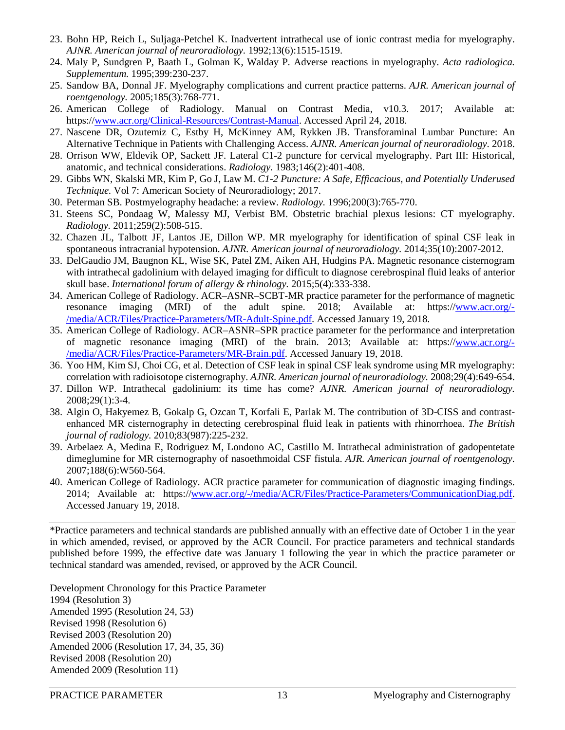- <span id="page-12-0"></span>23. Bohn HP, Reich L, Suljaga-Petchel K. Inadvertent intrathecal use of ionic contrast media for myelography. *AJNR. American journal of neuroradiology.* 1992;13(6):1515-1519.
- <span id="page-12-4"></span>24. Maly P, Sundgren P, Baath L, Golman K, Walday P. Adverse reactions in myelography. *Acta radiologica. Supplementum.* 1995;399:230-237.
- 25. Sandow BA, Donnal JF. Myelography complications and current practice patterns. *AJR. American journal of roentgenology.* 2005;185(3):768-771.
- 26. American College of Radiology. Manual on Contrast Media, v10.3. 2017; Available at: https:/[/www.acr.org/Clinical-Resources/Contrast-Manual.](http://www.acr.org/Clinical-Resources/Contrast-Manual) Accessed April 24, 2018.
- <span id="page-12-1"></span>27. Nascene DR, Ozutemiz C, Estby H, McKinney AM, Rykken JB. Transforaminal Lumbar Puncture: An Alternative Technique in Patients with Challenging Access. *AJNR. American journal of neuroradiology.* 2018.
- <span id="page-12-2"></span>28. Orrison WW, Eldevik OP, Sackett JF. Lateral C1-2 puncture for cervical myelography. Part III: Historical, anatomic, and technical considerations. *Radiology.* 1983;146(2):401-408.
- <span id="page-12-3"></span>29. Gibbs WN, Skalski MR, Kim P, Go J, Law M. *C1-2 Puncture: A Safe, Efficacious, and Potentially Underused Technique.* Vol 7: American Society of Neuroradiology; 2017.
- <span id="page-12-5"></span>30. Peterman SB. Postmyelography headache: a review. *Radiology.* 1996;200(3):765-770.
- <span id="page-12-6"></span>31. Steens SC, Pondaag W, Malessy MJ, Verbist BM. Obstetric brachial plexus lesions: CT myelography. *Radiology.* 2011;259(2):508-515.
- <span id="page-12-7"></span>32. Chazen JL, Talbott JF, Lantos JE, Dillon WP. MR myelography for identification of spinal CSF leak in spontaneous intracranial hypotension. *AJNR. American journal of neuroradiology.* 2014;35(10):2007-2012.
- <span id="page-12-8"></span>33. DelGaudio JM, Baugnon KL, Wise SK, Patel ZM, Aiken AH, Hudgins PA. Magnetic resonance cisternogram with intrathecal gadolinium with delayed imaging for difficult to diagnose cerebrospinal fluid leaks of anterior skull base. *International forum of allergy & rhinology.* 2015;5(4):333-338.
- <span id="page-12-9"></span>34. American College of Radiology. ACR–ASNR–SCBT-MR practice parameter for the performance of magnetic resonance imaging (MRI) of the adult spine. 2018; Available at: https:/[/www.acr.org/-](http://www.acr.org/-/media/ACR/Files/Practice-Parameters/MR-Adult-Spine.pdf) [/media/ACR/Files/Practice-Parameters/MR-Adult-Spine.pdf.](http://www.acr.org/-/media/ACR/Files/Practice-Parameters/MR-Adult-Spine.pdf) Accessed January 19, 2018.
- <span id="page-12-10"></span>35. American College of Radiology. ACR–ASNR–SPR practice parameter for the performance and interpretation of magnetic resonance imaging (MRI) of the brain. 2013; Available at: https:/[/www.acr.org/-](http://www.acr.org/-/media/ACR/Files/Practice-Parameters/MR-Brain.pdf) [/media/ACR/Files/Practice-Parameters/MR-Brain.pdf.](http://www.acr.org/-/media/ACR/Files/Practice-Parameters/MR-Brain.pdf) Accessed January 19, 2018.
- <span id="page-12-11"></span>36. Yoo HM, Kim SJ, Choi CG, et al. Detection of CSF leak in spinal CSF leak syndrome using MR myelography: correlation with radioisotope cisternography. *AJNR. American journal of neuroradiology.* 2008;29(4):649-654.
- <span id="page-12-12"></span>37. Dillon WP. Intrathecal gadolinium: its time has come? *AJNR. American journal of neuroradiology.*  2008;29(1):3-4.
- <span id="page-12-13"></span>38. Algin O, Hakyemez B, Gokalp G, Ozcan T, Korfali E, Parlak M. The contribution of 3D-CISS and contrastenhanced MR cisternography in detecting cerebrospinal fluid leak in patients with rhinorrhoea. *The British journal of radiology.* 2010;83(987):225-232.
- <span id="page-12-14"></span>39. Arbelaez A, Medina E, Rodriguez M, Londono AC, Castillo M. Intrathecal administration of gadopentetate dimeglumine for MR cisternography of nasoethmoidal CSF fistula. *AJR. American journal of roentgenology.*  2007;188(6):W560-564.
- <span id="page-12-15"></span>40. American College of Radiology. ACR practice parameter for communication of diagnostic imaging findings. 2014; Available at: https:/[/www.acr.org/-/media/ACR/Files/Practice-Parameters/CommunicationDiag.pdf.](http://www.acr.org/-/media/ACR/Files/Practice-Parameters/CommunicationDiag.pdf)  Accessed January 19, 2018.

\*Practice parameters and technical standards are published annually with an effective date of October 1 in the year in which amended, revised, or approved by the ACR Council. For practice parameters and technical standards published before 1999, the effective date was January 1 following the year in which the practice parameter or technical standard was amended, revised, or approved by the ACR Council.

Development Chronology for this Practice Parameter 1994 (Resolution 3) Amended 1995 (Resolution 24, 53) Revised 1998 (Resolution 6) Revised 2003 (Resolution 20) Amended 2006 (Resolution 17, 34, 35, 36) Revised 2008 (Resolution 20) Amended 2009 (Resolution 11)